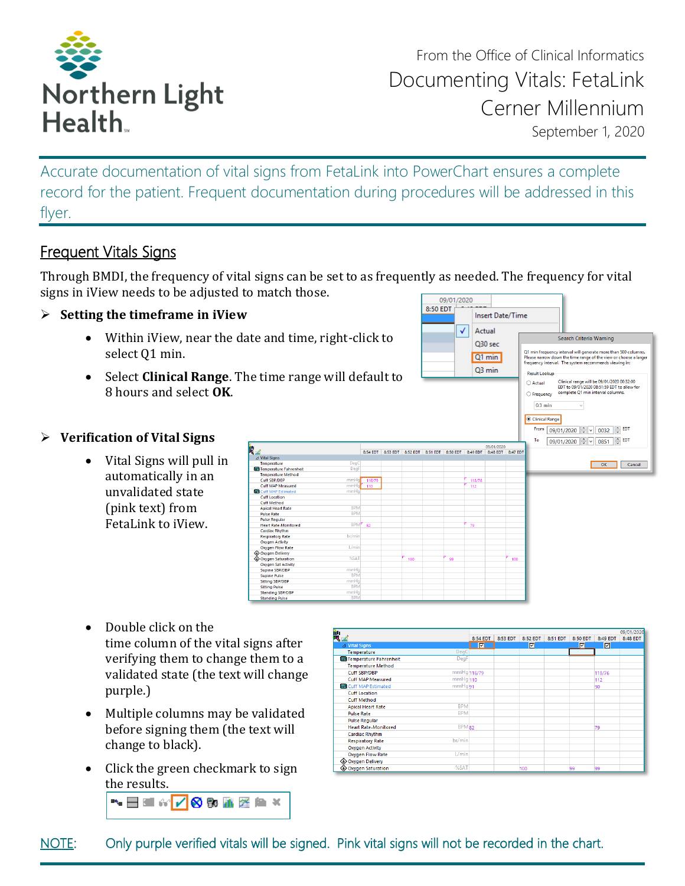

From the Office of Clinical Informatics Documenting Vitals: FetaLink Cerner Millennium September 1, 2020

**Insert Date/Time** 

Q30 sec

Q1 min Q3 min

Search Criteria Warning

Q1 min frequency interval will generate more than 500 columns<br>Please narrow down the time range of the view or choose a larg<br>frequency interval. The system recommends viewing in:

O Actual<br>
Clinical range will be 09/01/2020 00:32:00<br>
EDT to 09/01/2020 08:51:59 EDT to allow for<br>
C Frequency complete Q1 min interval columns.

**Result Lookup** 

 $\bigcirc$  Frequency

Accurate documentation of vital signs from FetaLink into PowerChart ensures a complete record for the patient. Frequent documentation during procedures will be addressed in this flyer.

# Frequent Vitals Signs

Through BMDI, the frequency of vital signs can be set to as frequently as needed. The frequency for vital signs in iView needs to be adjusted to match those. 09/01/2020

#### ➢ **Setting the timeframe in iView**

- Within iView, near the date and time, right-click to select Q1 min.
- Select **Clinical Range**. The time range will default to 8 hours and select **OK**.

#### ➢ **Verification of Vital Signs**

• Vital Signs will pull in automatically in an unvalidated state (pink text) from FetaLink to iView.



8:50 FDT

 $\sqrt{2}$ Actual

- Double click on the time column of the vital signs after verifying them to change them to a validated state (the text will change purple.)
- Multiple columns may be validated before signing them (the text will change to black).
- Click the green checkmark to sign the results.

▚▤◼«<mark>◸◙</mark>▧▓▨◣×